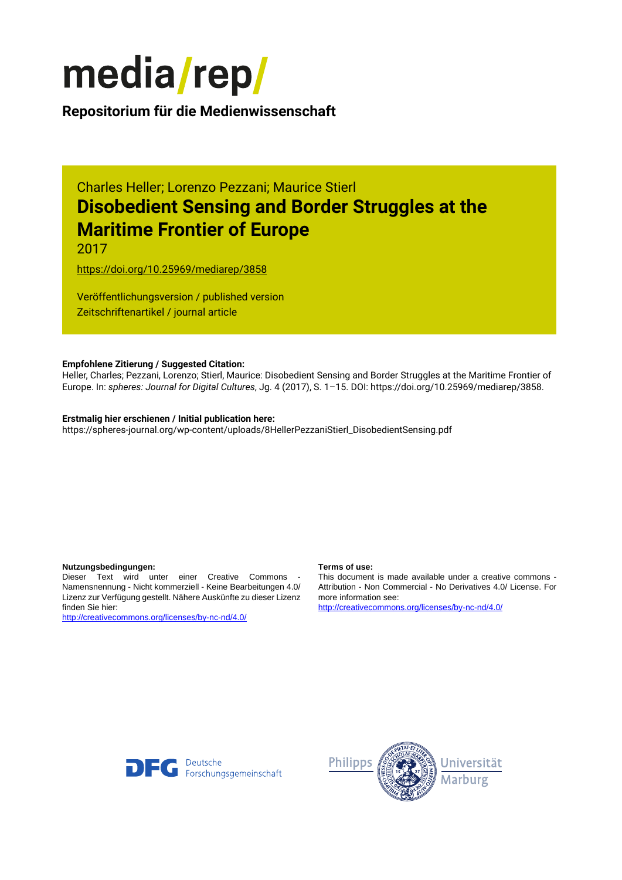

**Repositorium für die [Medienwissenschaft](https://mediarep.org)**

# Charles Heller; Lorenzo Pezzani; Maurice Stierl **Disobedient Sensing and Border Struggles at the Maritime Frontier of Europe**

2017

<https://doi.org/10.25969/mediarep/3858>

Veröffentlichungsversion / published version Zeitschriftenartikel / journal article

### **Empfohlene Zitierung / Suggested Citation:**

Heller, Charles; Pezzani, Lorenzo; Stierl, Maurice: Disobedient Sensing and Border Struggles at the Maritime Frontier of Europe. In: *spheres: Journal for Digital Cultures*, Jg. 4 (2017), S. 1–15. DOI: https://doi.org/10.25969/mediarep/3858.

## **Erstmalig hier erschienen / Initial publication here:**

https://spheres-journal.org/wp-content/uploads/8HellerPezzaniStierl\_DisobedientSensing.pdf

#### **Nutzungsbedingungen: Terms of use:**

Dieser Text wird unter einer Creative Commons - Namensnennung - Nicht kommerziell - Keine Bearbeitungen 4.0/ Lizenz zur Verfügung gestellt. Nähere Auskünfte zu dieser Lizenz finden Sie hier:

<http://creativecommons.org/licenses/by-nc-nd/4.0/>

This document is made available under a creative commons - Attribution - Non Commercial - No Derivatives 4.0/ License. For more information see:

<http://creativecommons.org/licenses/by-nc-nd/4.0/>



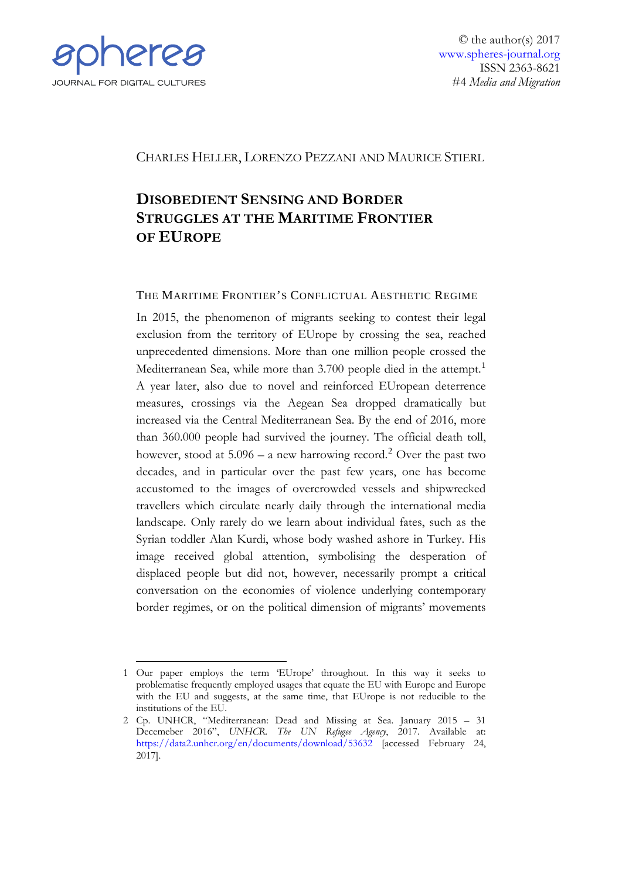

© the author(s) 2017 [www.spheres-journal.org](http://www.spheres-journal.org/) ISSN 2363-8621 #4 *Media and Migration*

# CHARLES HELLER, LORENZO PEZZANI AND MAURICE STIERL

# **DISOBEDIENT SENSING AND BORDER STRUGGLES AT THE MARITIME FRONTIER OF EUROPE**

## THE MARITIME FRONTIER'S CONFLICTUAL AESTHETIC REGIME

In 2015, the phenomenon of migrants seeking to contest their legal exclusion from the territory of EUrope by crossing the sea, reached unprecedented dimensions. More than one million people crossed the Mediterranean Sea, while more than 3.700 people died in the attempt.<sup>[1](#page-1-0)</sup> A year later, also due to novel and reinforced EUropean deterrence measures, crossings via the Aegean Sea dropped dramatically but increased via the Central Mediterranean Sea. By the end of 2016, more than 360.000 people had survived the journey. The official death toll, however, stood at  $5.096 - a$  new harrowing record.<sup>[2](#page-1-1)</sup> Over the past two decades, and in particular over the past few years, one has become accustomed to the images of overcrowded vessels and shipwrecked travellers which circulate nearly daily through the international media landscape. Only rarely do we learn about individual fates, such as the Syrian toddler Alan Kurdi, whose body washed ashore in Turkey. His image received global attention, symbolising the desperation of displaced people but did not, however, necessarily prompt a critical conversation on the economies of violence underlying contemporary border regimes, or on the political dimension of migrants' movements

<span id="page-1-0"></span><sup>-</sup>1 Our paper employs the term 'EUrope' throughout. In this way it seeks to problematise frequently employed usages that equate the EU with Europe and Europe with the EU and suggests, at the same time, that EUrope is not reducible to the institutions of the EU.

<span id="page-1-1"></span><sup>2</sup> Cp. UNHCR, "Mediterranean: Dead and Missing at Sea. January 2015 – 31 Decemeber 2016", *UNHCR. The UN Refugee Agency*, 2017. Available at: <https://data2.unhcr.org/en/documents/download/53632> [accessed February 24, 2017].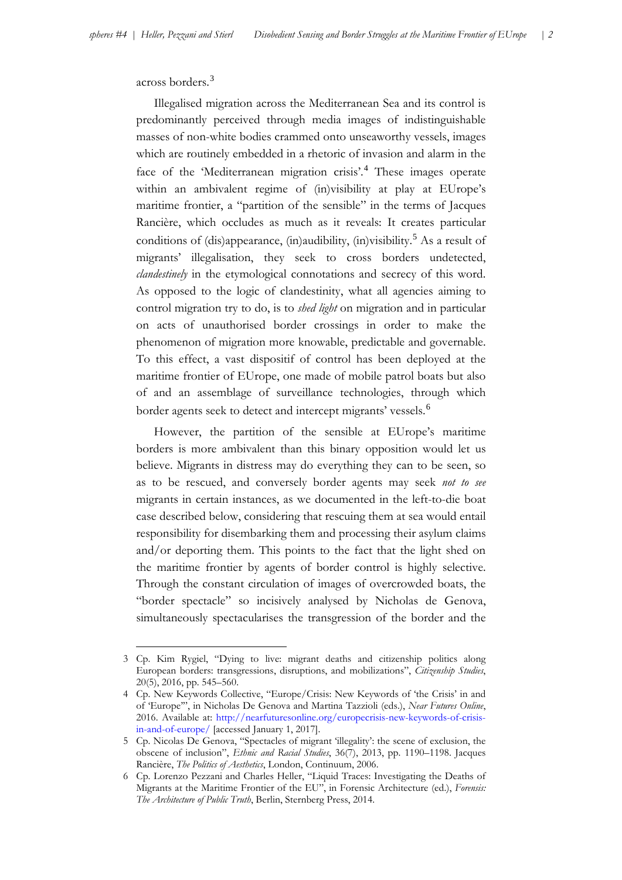across borders.<sup>[3](#page-2-0)</sup>

-

Illegalised migration across the Mediterranean Sea and its control is predominantly perceived through media images of indistinguishable masses of non-white bodies crammed onto unseaworthy vessels, images which are routinely embedded in a rhetoric of invasion and alarm in the face of the 'Mediterranean migration crisis'.<sup>[4](#page-2-1)</sup> These images operate within an ambivalent regime of (in)visibility at play at EUrope's maritime frontier, a "partition of the sensible" in the terms of Jacques Rancière, which occludes as much as it reveals: It creates particular conditions of (dis)appearance, (in)audibility, (in)visibility.<sup>[5](#page-2-2)</sup> As a result of migrants' illegalisation, they seek to cross borders undetected, *clandestinely* in the etymological connotations and secrecy of this word. As opposed to the logic of clandestinity, what all agencies aiming to control migration try to do, is to *shed light* on migration and in particular on acts of unauthorised border crossings in order to make the phenomenon of migration more knowable, predictable and governable. To this effect, a vast dispositif of control has been deployed at the maritime frontier of EUrope, one made of mobile patrol boats but also of and an assemblage of surveillance technologies, through which border agents seek to detect and intercept migrants' vessels.<sup>[6](#page-2-3)</sup>

However, the partition of the sensible at EUrope's maritime borders is more ambivalent than this binary opposition would let us believe. Migrants in distress may do everything they can to be seen, so as to be rescued, and conversely border agents may seek *not to see* migrants in certain instances, as we documented in the left-to-die boat case described below, considering that rescuing them at sea would entail responsibility for disembarking them and processing their asylum claims and/or deporting them. This points to the fact that the light shed on the maritime frontier by agents of border control is highly selective. Through the constant circulation of images of overcrowded boats, the "border spectacle" so incisively analysed by Nicholas de Genova, simultaneously spectacularises the transgression of the border and the

<span id="page-2-0"></span><sup>3</sup> Cp. Kim Rygiel, "Dying to live: migrant deaths and citizenship politics along European borders: transgressions, disruptions, and mobilizations", *Citizenship Studies*, 20(5), 2016, pp. 545–560.

<span id="page-2-1"></span><sup>4</sup> Cp. New Keywords Collective, "Europe/Crisis: New Keywords of 'the Crisis' in and of 'Europe'", in Nicholas De Genova and Martina Tazzioli (eds.), *Near Futures Online*, 2016. Available at: [http://nearfuturesonline.org/europecrisis-new-keywords-of-crisis](http://nearfuturesonline.org/europecrisis-new-keywords-of-crisis-in-and-of-europe/)[in-and-of-europe/](http://nearfuturesonline.org/europecrisis-new-keywords-of-crisis-in-and-of-europe/) [accessed January 1, 2017].

<span id="page-2-2"></span><sup>5</sup> Cp. Nicolas De Genova, "Spectacles of migrant 'illegality': the scene of exclusion, the obscene of inclusion", *Ethnic and Racial Studies*, 36(7), 2013, pp. 1190–1198. Jacques Rancière, *The Politics of Aesthetics*, London, Continuum, 2006.

<span id="page-2-3"></span><sup>6</sup> Cp. Lorenzo Pezzani and Charles Heller, "Liquid Traces: Investigating the Deaths of Migrants at the Maritime Frontier of the EU", in Forensic Architecture (ed.), *Forensis: The Architecture of Public Truth*, Berlin, Sternberg Press, 2014.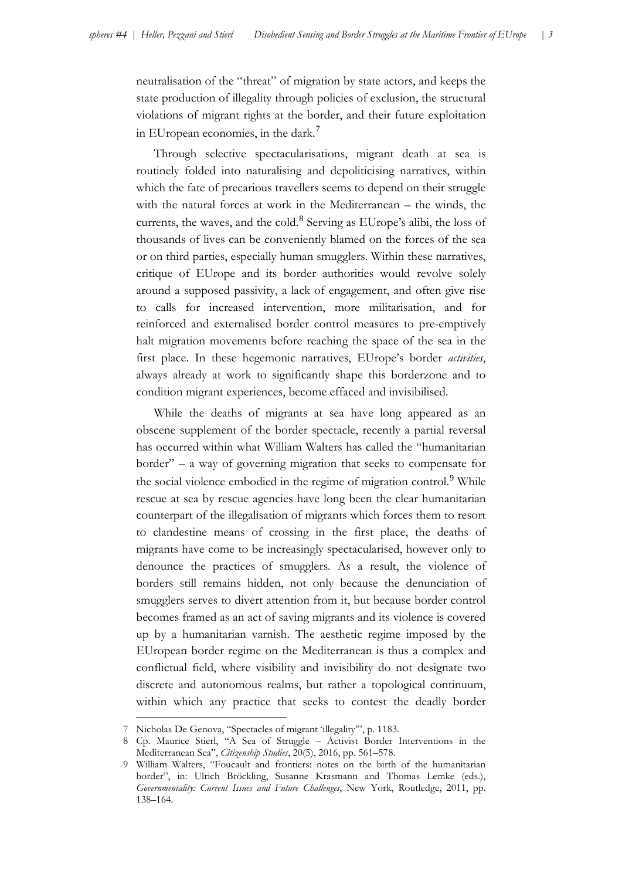neutralisation of the "threat" of migration by state actors, and keeps the state production of illegality through policies of exclusion, the structural violations of migrant rights at the border, and their future exploitation in EUropean economies, in the dark.[7](#page-3-0)

Through selective spectacularisations, migrant death at sea is routinely folded into naturalising and depoliticising narratives, within which the fate of precarious travellers seems to depend on their struggle with the natural forces at work in the Mediterranean – the winds, the currents, the waves, and the cold.<sup>[8](#page-3-1)</sup> Serving as EUrope's alibi, the loss of thousands of lives can be conveniently blamed on the forces of the sea or on third parties, especially human smugglers. Within these narratives, critique of EUrope and its border authorities would revolve solely around a supposed passivity, a lack of engagement, and often give rise to calls for increased intervention, more militarisation, and for reinforced and externalised border control measures to pre-emptively halt migration movements before reaching the space of the sea in the first place. In these hegemonic narratives, EUrope's border *activities*, always already at work to significantly shape this borderzone and to condition migrant experiences, become effaced and invisibilised.

While the deaths of migrants at sea have long appeared as an obscene supplement of the border spectacle, recently a partial reversal has occurred within what William Walters has called the "humanitarian border" – a way of governing migration that seeks to compensate for the social violence embodied in the regime of migration control.<sup>[9](#page-3-2)</sup> While rescue at sea by rescue agencies have long been the clear humanitarian counterpart of the illegalisation of migrants which forces them to resort to clandestine means of crossing in the first place, the deaths of migrants have come to be increasingly spectacularised, however only to denounce the practices of smugglers. As a result, the violence of borders still remains hidden, not only because the denunciation of smugglers serves to divert attention from it, but because border control becomes framed as an act of saving migrants and its violence is covered up by a humanitarian varnish. The aesthetic regime imposed by the EUropean border regime on the Mediterranean is thus a complex and conflictual field, where visibility and invisibility do not designate two discrete and autonomous realms, but rather a topological continuum, within which any practice that seeks to contest the deadly border

<sup>7</sup> Nicholas De Genova, "Spectacles of migrant 'illegality'", p. 1183.

<span id="page-3-1"></span><span id="page-3-0"></span><sup>8</sup> Cp. Maurice Stierl, "A Sea of Struggle – Activist Border Interventions in the Mediterranean Sea", *Citizenship Studies*, 20(5), 2016, pp. 561–578.

<span id="page-3-2"></span><sup>9</sup> William Walters, "Foucault and frontiers: notes on the birth of the humanitarian border", in: Ulrich Bröckling, Susanne Krasmann and Thomas Lemke (eds.), *Governmentality: Current Issues and Future Challenges*, New York, Routledge, 2011, pp. 138–164.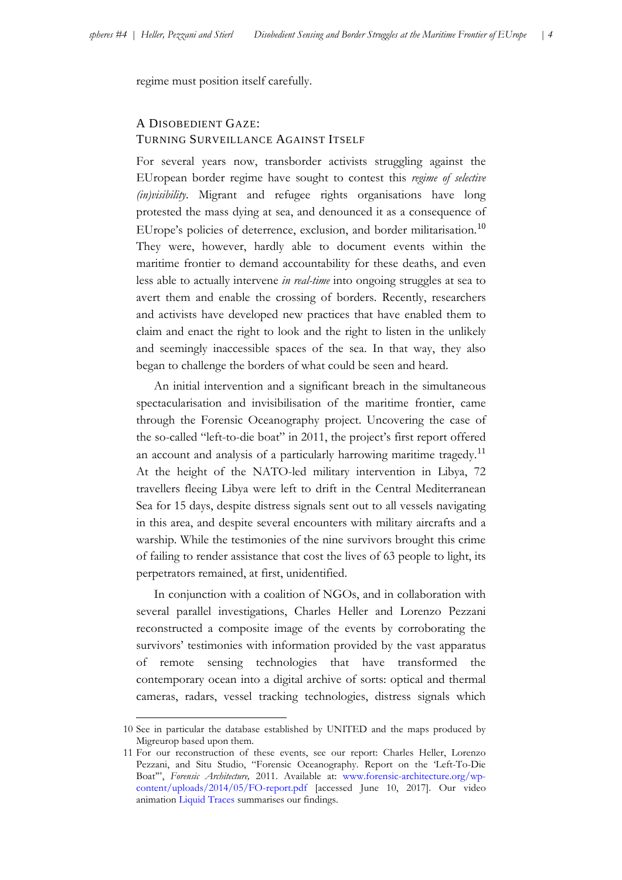regime must position itself carefully.

# A DISOBEDIENT GAZE: TURNING SURVEILLANCE AGAINST ITSELF

For several years now, transborder activists struggling against the EUropean border regime have sought to contest this *regime of selective (in)visibility*. Migrant and refugee rights organisations have long protested the mass dying at sea, and denounced it as a consequence of EUrope's policies of deterrence, exclusion, and border militarisation.<sup>[10](#page-4-0)</sup> They were, however, hardly able to document events within the maritime frontier to demand accountability for these deaths, and even less able to actually intervene *in real-time* into ongoing struggles at sea to avert them and enable the crossing of borders. Recently, researchers and activists have developed new practices that have enabled them to claim and enact the right to look and the right to listen in the unlikely and seemingly inaccessible spaces of the sea. In that way, they also began to challenge the borders of what could be seen and heard.

An initial intervention and a significant breach in the simultaneous spectacularisation and invisibilisation of the maritime frontier, came through the Forensic Oceanography project. Uncovering the case of the so-called "left-to-die boat" in 2011, the project's first report offered an account and analysis of a particularly harrowing maritime tragedy.<sup>[11](#page-4-1)</sup> At the height of the NATO-led military intervention in Libya, 72 travellers fleeing Libya were left to drift in the Central Mediterranean Sea for 15 days, despite distress signals sent out to all vessels navigating in this area, and despite several encounters with military aircrafts and a warship. While the testimonies of the nine survivors brought this crime of failing to render assistance that cost the lives of 63 people to light, its perpetrators remained, at first, unidentified.

In conjunction with a coalition of NGOs, and in collaboration with several parallel investigations, Charles Heller and Lorenzo Pezzani reconstructed a composite image of the events by corroborating the survivors' testimonies with information provided by the vast apparatus of remote sensing technologies that have transformed the contemporary ocean into a digital archive of sorts: optical and thermal cameras, radars, vessel tracking technologies, distress signals which

<span id="page-4-0"></span><sup>10</sup> See in particular the database established by UNITED and the maps produced by Migreurop based upon them.

<span id="page-4-1"></span><sup>11</sup> For our reconstruction of these events, see our report: Charles Heller, Lorenzo Pezzani, and Situ Studio, "Forensic Oceanography. Report on the 'Left-To-Die Boat'", *Forensic Architecture,* 2011. Available at: [www.forensic-architecture.org/wp](http://www.forensic-architecture.org/wp-content/uploads/2014/05/FO-report.pdf)[content/uploads/2014/05/FO-report.pdf](http://www.forensic-architecture.org/wp-content/uploads/2014/05/FO-report.pdf) [accessed June 10, 2017]. Our video animation [Liquid Traces](https://vimeo.com/128919244) summarises our findings.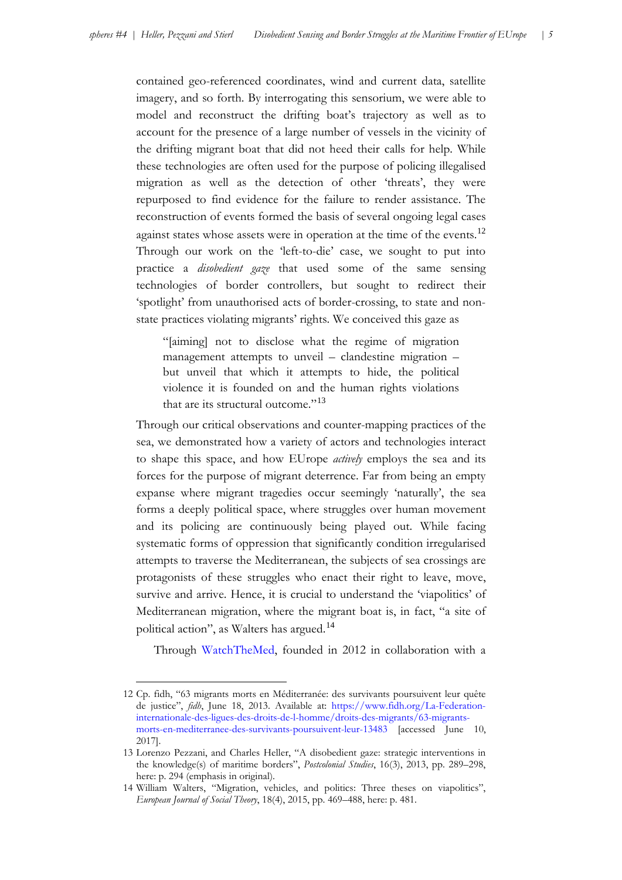contained geo-referenced coordinates, wind and current data, satellite imagery, and so forth. By interrogating this sensorium, we were able to model and reconstruct the drifting boat's trajectory as well as to account for the presence of a large number of vessels in the vicinity of the drifting migrant boat that did not heed their calls for help. While these technologies are often used for the purpose of policing illegalised migration as well as the detection of other 'threats', they were repurposed to find evidence for the failure to render assistance. The reconstruction of events formed the basis of several ongoing legal cases against states whose assets were in operation at the time of the events.<sup>[12](#page-5-0)</sup> Through our work on the 'left-to-die' case, we sought to put into practice a *disobedient gaze* that used some of the same sensing technologies of border controllers, but sought to redirect their 'spotlight' from unauthorised acts of border-crossing, to state and nonstate practices violating migrants' rights. We conceived this gaze as

"[aiming] not to disclose what the regime of migration management attempts to unveil – clandestine migration – but unveil that which it attempts to hide, the political violence it is founded on and the human rights violations that are its structural outcome."<sup>[13](#page-5-1)</sup>

Through our critical observations and counter-mapping practices of the sea, we demonstrated how a variety of actors and technologies interact to shape this space, and how EUrope *actively* employs the sea and its forces for the purpose of migrant deterrence. Far from being an empty expanse where migrant tragedies occur seemingly 'naturally', the sea forms a deeply political space, where struggles over human movement and its policing are continuously being played out. While facing systematic forms of oppression that significantly condition irregularised attempts to traverse the Mediterranean, the subjects of sea crossings are protagonists of these struggles who enact their right to leave, move, survive and arrive. Hence, it is crucial to understand the 'viapolitics' of Mediterranean migration, where the migrant boat is, in fact, "a site of political action", as Walters has argued.[14](#page-5-2)

Through [WatchTheMed,](http://www.watchthemed.net/) founded in 2012 in collaboration with a

<span id="page-5-0"></span><sup>12</sup> Cp. fidh, "63 migrants morts en Méditerranée: des survivants poursuivent leur quête de justice", *fidh*, June 18, 2013. Available at: [https://www.fidh.org/La-Federation](https://www.fidh.org/La-Federation-internationale-des-ligues-des-droits-de-l-homme/droits-des-migrants/63-migrants-morts-en-mediterranee-des-survivants-poursuivent-leur-13483)[internationale-des-ligues-des-droits-de-l-homme/droits-des-migrants/63-migrants](https://www.fidh.org/La-Federation-internationale-des-ligues-des-droits-de-l-homme/droits-des-migrants/63-migrants-morts-en-mediterranee-des-survivants-poursuivent-leur-13483)[morts-en-mediterranee-des-survivants-poursuivent-leur-13483](https://www.fidh.org/La-Federation-internationale-des-ligues-des-droits-de-l-homme/droits-des-migrants/63-migrants-morts-en-mediterranee-des-survivants-poursuivent-leur-13483) [accessed June 10, 2017].

<span id="page-5-1"></span><sup>13</sup> Lorenzo Pezzani, and Charles Heller, "A disobedient gaze: strategic interventions in the knowledge(s) of maritime borders", *Postcolonial Studies*, 16(3), 2013, pp. 289–298, here: p. 294 (emphasis in original).

<span id="page-5-2"></span><sup>14</sup> William Walters, "Migration, vehicles, and politics: Three theses on viapolitics", *European Journal of Social Theory*, 18(4), 2015, pp. 469–488, here: p. 481.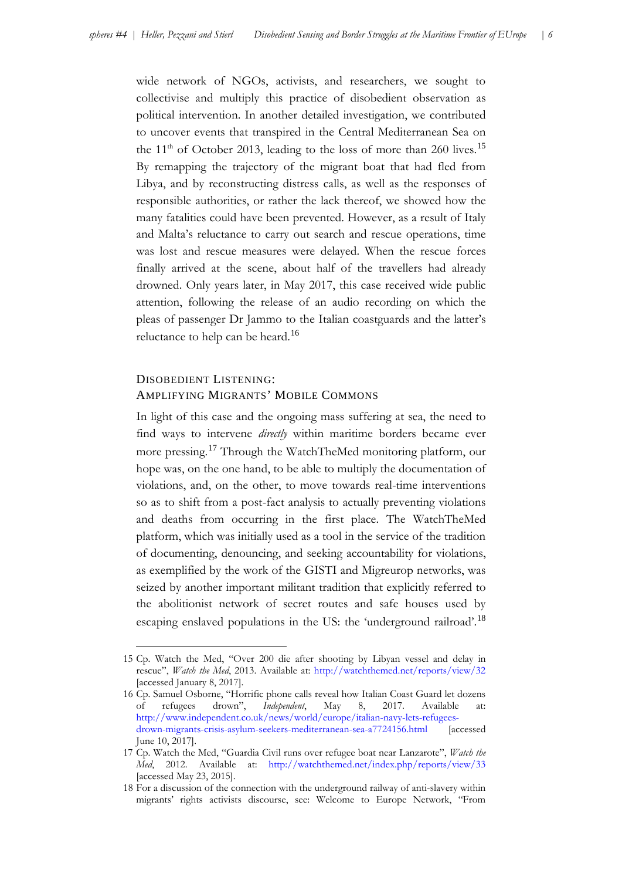wide network of NGOs, activists, and researchers, we sought to collectivise and multiply this practice of disobedient observation as political intervention. In another detailed investigation, we contributed to uncover events that transpired in the Central Mediterranean Sea on the  $11<sup>th</sup>$  of October 2013, leading to the loss of more than 260 lives.<sup>[15](#page-6-0)</sup> By remapping the trajectory of the migrant boat that had fled from Libya, and by reconstructing distress calls, as well as the responses of responsible authorities, or rather the lack thereof, we showed how the many fatalities could have been prevented. However, as a result of Italy and Malta's reluctance to carry out search and rescue operations, time was lost and rescue measures were delayed. When the rescue forces finally arrived at the scene, about half of the travellers had already drowned. Only years later, in May 2017, this case received wide public attention, following the release of an audio recording on which the pleas of passenger Dr Jammo to the Italian coastguards and the latter's reluctance to help can be heard.<sup>[16](#page-6-1)</sup>

## DISOBEDIENT LISTENING: AMPLIFYING MIGRANTS' MOBILE COMMONS

-

In light of this case and the ongoing mass suffering at sea, the need to find ways to intervene *directly* within maritime borders became ever more pressing.[17](#page-6-2) Through the WatchTheMed monitoring platform, our hope was, on the one hand, to be able to multiply the documentation of violations, and, on the other, to move towards real-time interventions so as to shift from a post-fact analysis to actually preventing violations and deaths from occurring in the first place. The WatchTheMed platform, which was initially used as a tool in the service of the tradition of documenting, denouncing, and seeking accountability for violations, as exemplified by the work of the GISTI and Migreurop networks, was seized by another important militant tradition that explicitly referred to the abolitionist network of secret routes and safe houses used by escaping enslaved populations in the US: the 'underground railroad'.<sup>[18](#page-6-3)</sup>

<span id="page-6-0"></span><sup>15</sup> Cp. Watch the Med, "Over 200 die after shooting by Libyan vessel and delay in rescue", *Watch the Med*, 2013. Available at:<http://watchthemed.net/reports/view/32> [accessed January 8, 2017].

<span id="page-6-1"></span><sup>16</sup> Cp. Samuel Osborne, "Horrific phone calls reveal how Italian Coast Guard let dozens of refugees drown", *Independent*, May 8, 2017. Available at: [http://www.independent.co.uk/news/world/europe/italian-navy-lets-refugees](http://www.independent.co.uk/news/world/europe/italian-navy-lets-refugees-drown-migrants-crisis-asylum-seekers-mediterranean-sea-a7724156.html)[drown-migrants-crisis-asylum-seekers-mediterranean-sea-a7724156.html](http://www.independent.co.uk/news/world/europe/italian-navy-lets-refugees-drown-migrants-crisis-asylum-seekers-mediterranean-sea-a7724156.html) [accessed June 10, 2017].

<span id="page-6-2"></span><sup>17</sup> Cp. Watch the Med, "Guardia Civil runs over refugee boat near Lanzarote", *Watch the Med*, 2012. Available at: <http://watchthemed.net/index.php/reports/view/33> [accessed May 23, 2015].

<span id="page-6-3"></span><sup>18</sup> For a discussion of the connection with the underground railway of anti-slavery within migrants' rights activists discourse, see: Welcome to Europe Network, "From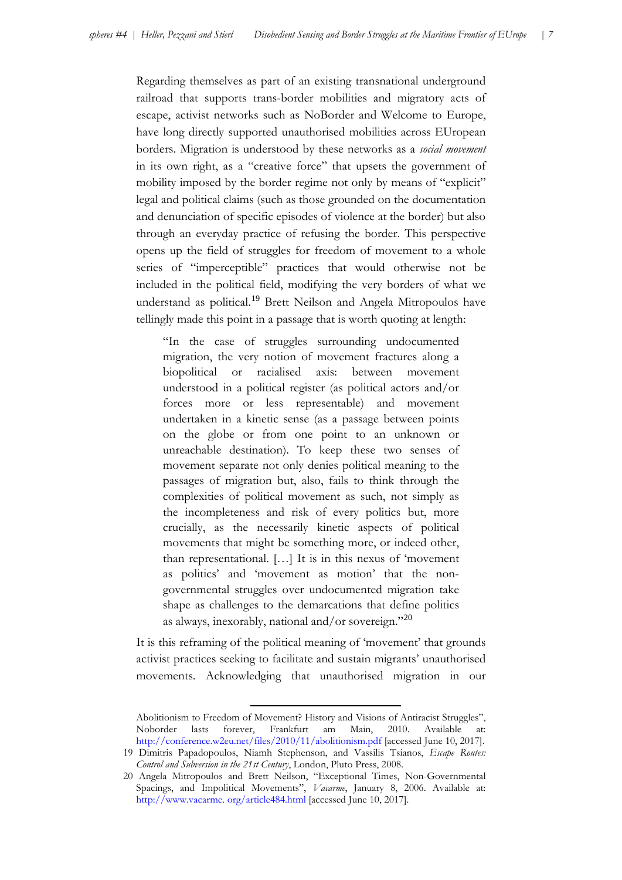Regarding themselves as part of an existing transnational underground railroad that supports trans-border mobilities and migratory acts of escape, activist networks such as NoBorder and Welcome to Europe, have long directly supported unauthorised mobilities across EUropean borders. Migration is understood by these networks as a *social movement* in its own right, as a "creative force" that upsets the government of mobility imposed by the border regime not only by means of "explicit" legal and political claims (such as those grounded on the documentation and denunciation of specific episodes of violence at the border) but also through an everyday practice of refusing the border. This perspective opens up the field of struggles for freedom of movement to a whole series of "imperceptible" practices that would otherwise not be included in the political field, modifying the very borders of what we understand as political.<sup>[19](#page-7-0)</sup> Brett Neilson and Angela Mitropoulos have tellingly made this point in a passage that is worth quoting at length:

"In the case of struggles surrounding undocumented migration, the very notion of movement fractures along a biopolitical or racialised axis: between movement understood in a political register (as political actors and/or forces more or less representable) and movement undertaken in a kinetic sense (as a passage between points on the globe or from one point to an unknown or unreachable destination). To keep these two senses of movement separate not only denies political meaning to the passages of migration but, also, fails to think through the complexities of political movement as such, not simply as the incompleteness and risk of every politics but, more crucially, as the necessarily kinetic aspects of political movements that might be something more, or indeed other, than representational. […] It is in this nexus of 'movement as politics' and 'movement as motion' that the nongovernmental struggles over undocumented migration take shape as challenges to the demarcations that define politics as always, inexorably, national and/or sovereign."[20](#page-7-1)

It is this reframing of the political meaning of 'movement' that grounds activist practices seeking to facilitate and sustain migrants' unauthorised movements. Acknowledging that unauthorised migration in our

<sup>-</sup>Abolitionism to Freedom of Movement? History and Visions of Antiracist Struggles", Noborder lasts forever, Frankfurt am Main, 2010. Available at: <http://conference.w2eu.net/files/2010/11/abolitionism.pdf> [accessed June 10, 2017].

<span id="page-7-0"></span><sup>19</sup> Dimitris Papadopoulos, Niamh Stephenson, and Vassilis Tsianos, *Escape Routes: Control and Subversion in the 21st Century*, London, Pluto Press, 2008.

<span id="page-7-1"></span><sup>20</sup> Angela Mitropoulos and Brett Neilson, "Exceptional Times, Non-Governmental Spacings, and Impolitical Movements", *Vacarme*, January 8, 2006. Available at: [http://www.vacarme.](http://www.vacarme.org/article484.html) org/article484.html [accessed June 10, 2017].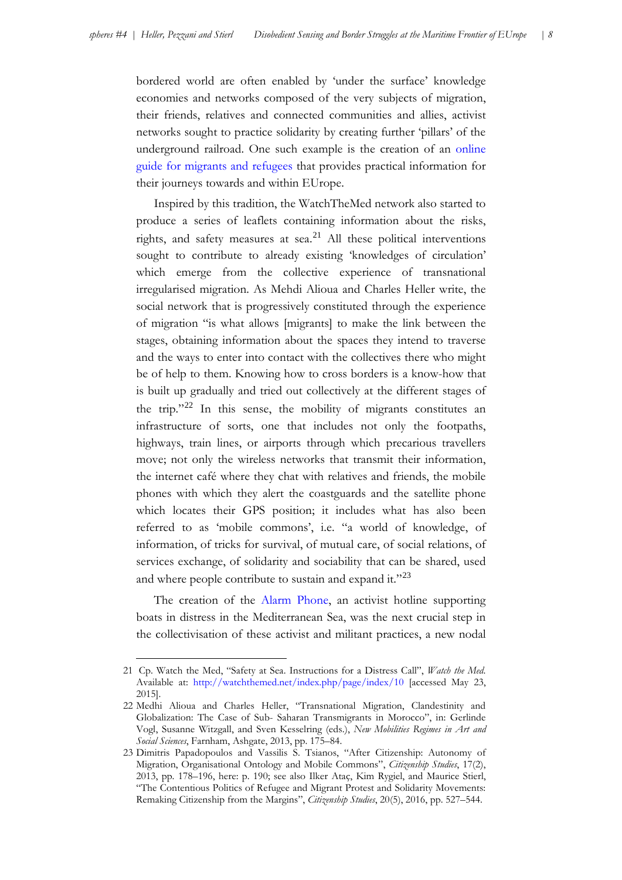bordered world are often enabled by 'under the surface' knowledge economies and networks composed of the very subjects of migration, their friends, relatives and connected communities and allies, activist networks sought to practice solidarity by creating further 'pillars' of the underground railroad. One such example is the creation of an [online](http://www.w2eu.info/)  [guide for migrants and refugees](http://www.w2eu.info/) that provides practical information for their journeys towards and within EUrope.

Inspired by this tradition, the WatchTheMed network also started to produce a series of leaflets containing information about the risks, rights, and safety measures at sea.<sup>[21](#page-8-0)</sup> All these political interventions sought to contribute to already existing 'knowledges of circulation' which emerge from the collective experience of transnational irregularised migration. As Mehdi Alioua and Charles Heller write, the social network that is progressively constituted through the experience of migration "is what allows [migrants] to make the link between the stages, obtaining information about the spaces they intend to traverse and the ways to enter into contact with the collectives there who might be of help to them. Knowing how to cross borders is a know-how that is built up gradually and tried out collectively at the different stages of the trip."[22](#page-8-1) In this sense, the mobility of migrants constitutes an infrastructure of sorts, one that includes not only the footpaths, highways, train lines, or airports through which precarious travellers move; not only the wireless networks that transmit their information, the internet café where they chat with relatives and friends, the mobile phones with which they alert the coastguards and the satellite phone which locates their GPS position; it includes what has also been referred to as 'mobile commons', i.e. "a world of knowledge, of information, of tricks for survival, of mutual care, of social relations, of services exchange, of solidarity and sociability that can be shared, used and where people contribute to sustain and expand it."<sup>[23](#page-8-2)</sup>

The creation of the [Alarm Phone,](http://alarmphone.org/) an activist hotline supporting boats in distress in the Mediterranean Sea, was the next crucial step in the collectivisation of these activist and militant practices, a new nodal

<span id="page-8-0"></span><sup>21</sup> Cp. Watch the Med, "Safety at Sea. Instructions for a Distress Call", *Watch the Med*. Available at: <http://watchthemed.net/index.php/page/index/10> [accessed May 23, 2015].

<span id="page-8-1"></span><sup>22</sup> Medhi Alioua and Charles Heller, "Transnational Migration, Clandestinity and Globalization: The Case of Sub- Saharan Transmigrants in Morocco", in: Gerlinde Vogl, Susanne Witzgall, and Sven Kesselring (eds.), *New Mobilities Regimes in Art and Social Sciences*, Farnham, Ashgate, 2013, pp. 175–84.

<span id="page-8-2"></span><sup>23</sup> Dimitris Papadopoulos and Vassilis S. Tsianos, "After Citizenship: Autonomy of Migration, Organisational Ontology and Mobile Commons", *Citizenship Studies*, 17(2), 2013, pp. 178–196, here: p. 190; see also Ilker Ataç, Kim Rygiel, and Maurice Stierl, "The Contentious Politics of Refugee and Migrant Protest and Solidarity Movements: Remaking Citizenship from the Margins", *Citizenship Studies*, 20(5), 2016, pp. 527–544.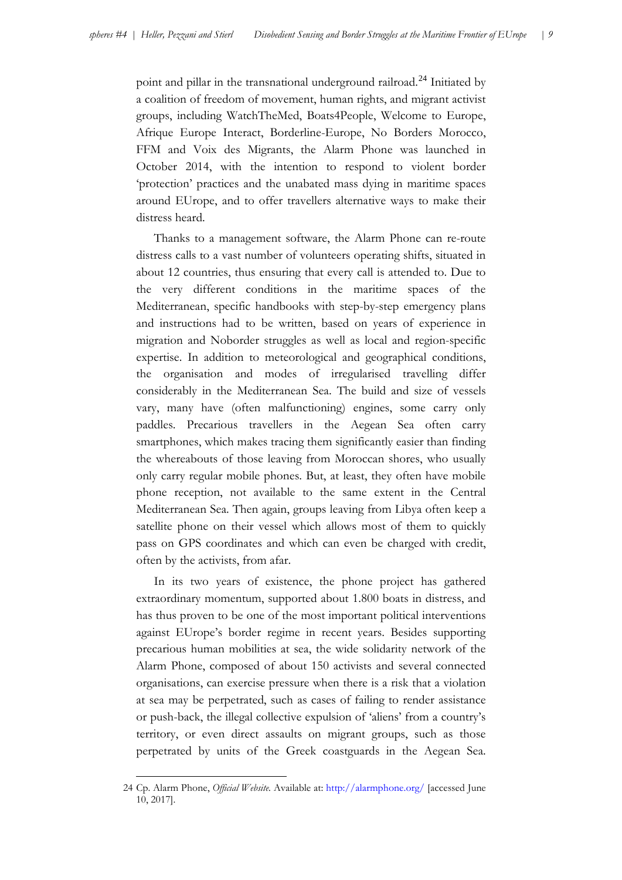point and pillar in the transnational underground railroad.<sup>[24](#page-9-0)</sup> Initiated by a coalition of freedom of movement, human rights, and migrant activist groups, including WatchTheMed, Boats4People, Welcome to Europe, Afrique Europe Interact, Borderline-Europe, No Borders Morocco, FFM and Voix des Migrants, the Alarm Phone was launched in October 2014, with the intention to respond to violent border 'protection' practices and the unabated mass dying in maritime spaces around EUrope, and to offer travellers alternative ways to make their distress heard.

Thanks to a management software, the Alarm Phone can re-route distress calls to a vast number of volunteers operating shifts, situated in about 12 countries, thus ensuring that every call is attended to. Due to the very different conditions in the maritime spaces of the Mediterranean, specific handbooks with step-by-step emergency plans and instructions had to be written, based on years of experience in migration and Noborder struggles as well as local and region-specific expertise. In addition to meteorological and geographical conditions, the organisation and modes of irregularised travelling differ considerably in the Mediterranean Sea. The build and size of vessels vary, many have (often malfunctioning) engines, some carry only paddles. Precarious travellers in the Aegean Sea often carry smartphones, which makes tracing them significantly easier than finding the whereabouts of those leaving from Moroccan shores, who usually only carry regular mobile phones. But, at least, they often have mobile phone reception, not available to the same extent in the Central Mediterranean Sea. Then again, groups leaving from Libya often keep a satellite phone on their vessel which allows most of them to quickly pass on GPS coordinates and which can even be charged with credit, often by the activists, from afar.

In its two years of existence, the phone project has gathered extraordinary momentum, supported about 1.800 boats in distress, and has thus proven to be one of the most important political interventions against EUrope's border regime in recent years. Besides supporting precarious human mobilities at sea, the wide solidarity network of the Alarm Phone, composed of about 150 activists and several connected organisations, can exercise pressure when there is a risk that a violation at sea may be perpetrated, such as cases of failing to render assistance or push-back, the illegal collective expulsion of 'aliens' from a country's territory, or even direct assaults on migrant groups, such as those perpetrated by units of the Greek coastguards in the Aegean Sea.

<span id="page-9-0"></span><sup>24</sup> Cp. Alarm Phone, *Official Website.* Available at: <http://alarmphone.org/> [accessed June 10, 2017].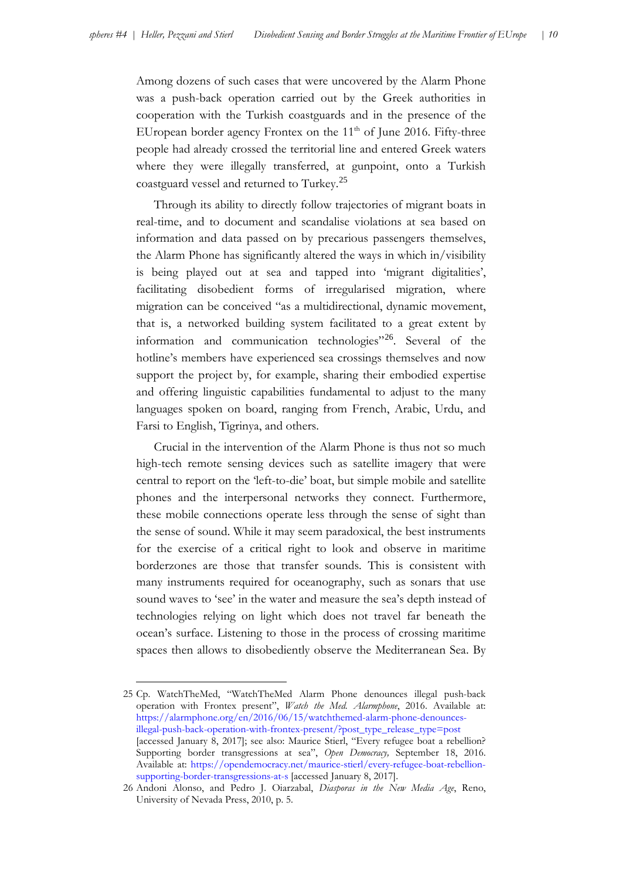Among dozens of such cases that were uncovered by the Alarm Phone was a push-back operation carried out by the Greek authorities in cooperation with the Turkish coastguards and in the presence of the EUropean border agency Frontex on the  $11<sup>th</sup>$  of June 2016. Fifty-three people had already crossed the territorial line and entered Greek waters where they were illegally transferred, at gunpoint, onto a Turkish coastguard vessel and returned to Turkey.<sup>[25](#page-10-0)</sup>

Through its ability to directly follow trajectories of migrant boats in real-time, and to document and scandalise violations at sea based on information and data passed on by precarious passengers themselves, the Alarm Phone has significantly altered the ways in which in/visibility is being played out at sea and tapped into 'migrant digitalities', facilitating disobedient forms of irregularised migration, where migration can be conceived "as a multidirectional, dynamic movement, that is, a networked building system facilitated to a great extent by information and communication technologies<sup>"[26](#page-10-1)</sup>. Several of the hotline's members have experienced sea crossings themselves and now support the project by, for example, sharing their embodied expertise and offering linguistic capabilities fundamental to adjust to the many languages spoken on board, ranging from French, Arabic, Urdu, and Farsi to English, Tigrinya, and others.

Crucial in the intervention of the Alarm Phone is thus not so much high-tech remote sensing devices such as satellite imagery that were central to report on the 'left-to-die' boat, but simple mobile and satellite phones and the interpersonal networks they connect. Furthermore, these mobile connections operate less through the sense of sight than the sense of sound. While it may seem paradoxical, the best instruments for the exercise of a critical right to look and observe in maritime borderzones are those that transfer sounds. This is consistent with many instruments required for oceanography, such as sonars that use sound waves to 'see' in the water and measure the sea's depth instead of technologies relying on light which does not travel far beneath the ocean's surface. Listening to those in the process of crossing maritime spaces then allows to disobediently observe the Mediterranean Sea. By

<span id="page-10-0"></span><sup>25</sup> Cp. WatchTheMed, "WatchTheMed Alarm Phone denounces illegal push-back operation with Frontex present", *Watch the Med. Alarmphone*, 2016. Available at: [https://alarmphone.org/en/2016/06/15/watchthemed-alarm-phone-denounces](https://alarmphone.org/en/2016/06/15/watchthemed-alarm-phone-denounces-illegal-push-back-operation-with-frontex-present/?post_type_release_type=post)[illegal-push-back-operation-with-frontex-present/?post\\_type\\_release\\_type=post](https://alarmphone.org/en/2016/06/15/watchthemed-alarm-phone-denounces-illegal-push-back-operation-with-frontex-present/?post_type_release_type=post) [accessed January 8, 2017]; see also: Maurice Stierl, "Every refugee boat a rebellion? Supporting border transgressions at sea", *Open Democracy,* September 18, 2016. Available at: [https://opendemocracy.net/maurice-stierl/every-refugee-boat-rebellion](https://opendemocracy.net/maurice-stierl/every-refugee-boat-rebellion-supporting-border-transgressions-at-s)[supporting-border-transgressions-at-s](https://opendemocracy.net/maurice-stierl/every-refugee-boat-rebellion-supporting-border-transgressions-at-s) [accessed January 8, 2017].

<span id="page-10-1"></span><sup>26</sup> Andoni Alonso, and Pedro J. Oiarzabal, *Diasporas in the New Media Age*, Reno, University of Nevada Press, 2010, p. 5.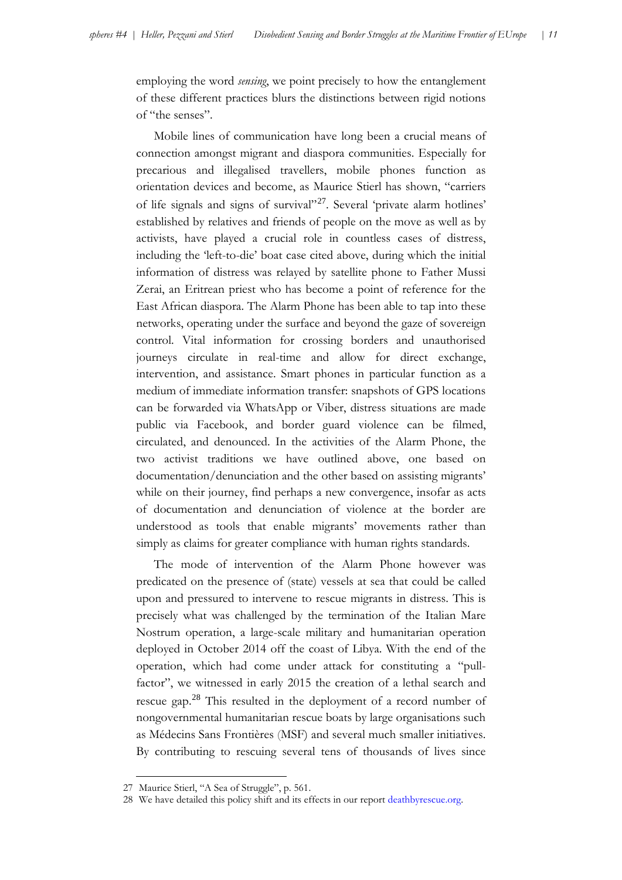employing the word *sensing*, we point precisely to how the entanglement of these different practices blurs the distinctions between rigid notions of "the senses".

Mobile lines of communication have long been a crucial means of connection amongst migrant and diaspora communities. Especially for precarious and illegalised travellers, mobile phones function as orientation devices and become, as Maurice Stierl has shown, "carriers of life signals and signs of survival"<sup>[27](#page-11-0)</sup>. Several 'private alarm hotlines' established by relatives and friends of people on the move as well as by activists, have played a crucial role in countless cases of distress, including the 'left-to-die' boat case cited above, during which the initial information of distress was relayed by satellite phone to Father Mussi Zerai, an Eritrean priest who has become a point of reference for the East African diaspora. The Alarm Phone has been able to tap into these networks, operating under the surface and beyond the gaze of sovereign control. Vital information for crossing borders and unauthorised journeys circulate in real-time and allow for direct exchange, intervention, and assistance. Smart phones in particular function as a medium of immediate information transfer: snapshots of GPS locations can be forwarded via WhatsApp or Viber, distress situations are made public via Facebook, and border guard violence can be filmed, circulated, and denounced. In the activities of the Alarm Phone, the two activist traditions we have outlined above, one based on documentation/denunciation and the other based on assisting migrants' while on their journey, find perhaps a new convergence, insofar as acts of documentation and denunciation of violence at the border are understood as tools that enable migrants' movements rather than simply as claims for greater compliance with human rights standards.

The mode of intervention of the Alarm Phone however was predicated on the presence of (state) vessels at sea that could be called upon and pressured to intervene to rescue migrants in distress. This is precisely what was challenged by the termination of the Italian Mare Nostrum operation, a large-scale military and humanitarian operation deployed in October 2014 off the coast of Libya. With the end of the operation, which had come under attack for constituting a "pullfactor", we witnessed in early 2015 the creation of a lethal search and rescue gap.<sup>[28](#page-11-1)</sup> This resulted in the deployment of a record number of nongovernmental humanitarian rescue boats by large organisations such as Médecins Sans Frontières (MSF) and several much smaller initiatives. By contributing to rescuing several tens of thousands of lives since

<span id="page-11-0"></span><sup>27</sup> Maurice Stierl, "A Sea of Struggle", p. 561.

<span id="page-11-1"></span><sup>28</sup> We have detailed this policy shift and its effects in our report [deathbyrescue.org.](http://www.deathbyrescue.org/)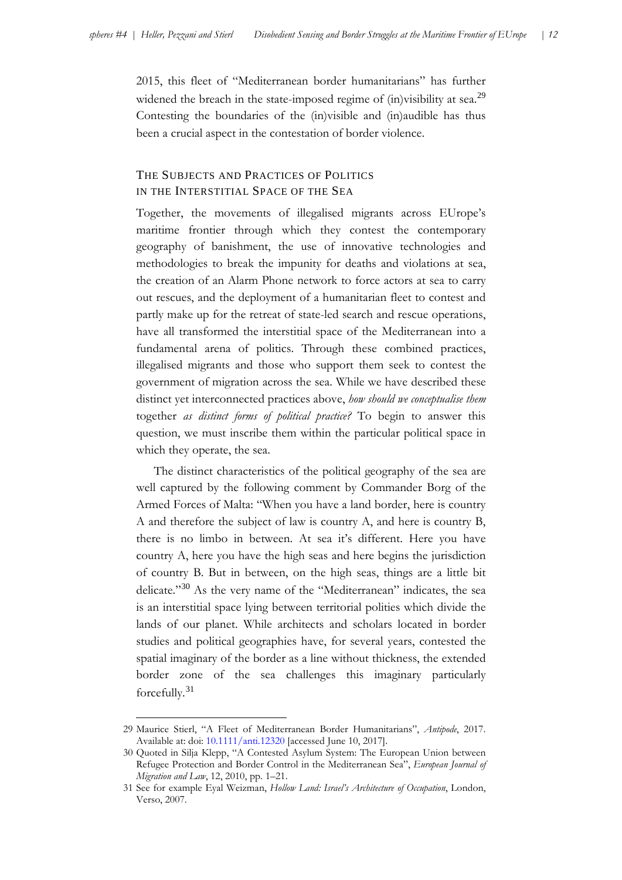2015, this fleet of "Mediterranean border humanitarians" has further widened the breach in the state-imposed regime of (in)visibility at sea.<sup>[29](#page-12-0)</sup> Contesting the boundaries of the (in)visible and (in)audible has thus been a crucial aspect in the contestation of border violence.

## THE SUBJECTS AND PRACTICES OF POLITICS IN THE INTERSTITIAL SPACE OF THE SEA

Together, the movements of illegalised migrants across EUrope's maritime frontier through which they contest the contemporary geography of banishment, the use of innovative technologies and methodologies to break the impunity for deaths and violations at sea, the creation of an Alarm Phone network to force actors at sea to carry out rescues, and the deployment of a humanitarian fleet to contest and partly make up for the retreat of state-led search and rescue operations, have all transformed the interstitial space of the Mediterranean into a fundamental arena of politics. Through these combined practices, illegalised migrants and those who support them seek to contest the government of migration across the sea. While we have described these distinct yet interconnected practices above, *how should we conceptualise them*  together *as distinct forms of political practice?* To begin to answer this question, we must inscribe them within the particular political space in which they operate, the sea.

The distinct characteristics of the political geography of the sea are well captured by the following comment by Commander Borg of the Armed Forces of Malta: "When you have a land border, here is country A and therefore the subject of law is country A, and here is country B, there is no limbo in between. At sea it's different. Here you have country A, here you have the high seas and here begins the jurisdiction of country B. But in between, on the high seas, things are a little bit delicate."[30](#page-12-1) As the very name of the "Mediterranean" indicates, the sea is an interstitial space lying between territorial polities which divide the lands of our planet. While architects and scholars located in border studies and political geographies have, for several years, contested the spatial imaginary of the border as a line without thickness, the extended border zone of the sea challenges this imaginary particularly forcefully.[31](#page-12-2)

<span id="page-12-0"></span><sup>29</sup> Maurice Stierl, "A Fleet of Mediterranean Border Humanitarians", *Antipode*, 2017. Available at: doi: 10.1111/anti.12320 [accessed June 10, 2017].

<span id="page-12-1"></span><sup>30</sup> Quoted in Silja Klepp, "A Contested Asylum System: The European Union between Refugee Protection and Border Control in the Mediterranean Sea", *European Journal of Migration and Law*, 12, 2010, pp. 1–21.

<span id="page-12-2"></span><sup>31</sup> See for example Eyal Weizman, *Hollow Land: Israel's Architecture of Occupation*, London, Verso, 2007.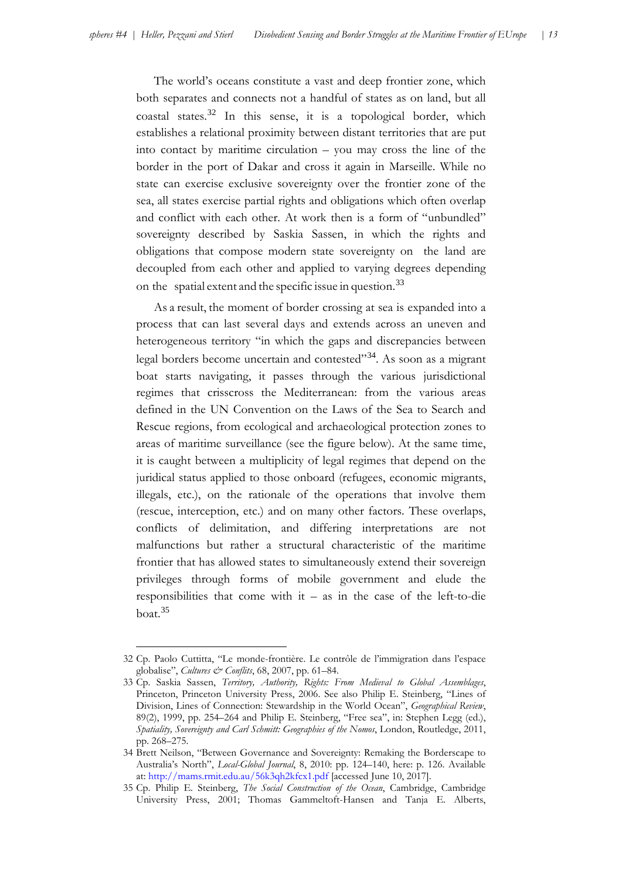The world's oceans constitute a vast and deep frontier zone, which both separates and connects not a handful of states as on land, but all coastal states.[32](#page-13-0) In this sense, it is a topological border, which establishes a relational proximity between distant territories that are put into contact by maritime circulation – you may cross the line of the border in the port of Dakar and cross it again in Marseille. While no state can exercise exclusive sovereignty over the frontier zone of the sea, all states exercise partial rights and obligations which often overlap and conflict with each other. At work then is a form of "unbundled" sovereignty described by Saskia Sassen, in which the rights and obligations that compose modern state sovereignty on the land are decoupled from each other and applied to varying degrees depending on the spatial extent and the specific issue in question.<sup>[33](#page-13-1)</sup>

As a result, the moment of border crossing at sea is expanded into a process that can last several days and extends across an uneven and heterogeneous territory "in which the gaps and discrepancies between legal borders become uncertain and contested"<sup>[34](#page-13-2)</sup>. As soon as a migrant boat starts navigating, it passes through the various jurisdictional regimes that crisscross the Mediterranean: from the various areas defined in the UN Convention on the Laws of the Sea to Search and Rescue regions, from ecological and archaeological protection zones to areas of maritime surveillance (see the figure below). At the same time, it is caught between a multiplicity of legal regimes that depend on the juridical status applied to those onboard (refugees, economic migrants, illegals, etc.), on the rationale of the operations that involve them (rescue, interception, etc.) and on many other factors. These overlaps, conflicts of delimitation, and differing interpretations are not malfunctions but rather a structural characteristic of the maritime frontier that has allowed states to simultaneously extend their sovereign privileges through forms of mobile government and elude the responsibilities that come with it – as in the case of the left-to-die boat. $35$ 

<span id="page-13-0"></span><sup>32</sup> Cp. Paolo Cuttitta, "Le monde-frontière. Le contrôle de l'immigration dans l'espace globalise", *Cultures & Conflits*, 68, 2007, pp. 61–84.

<span id="page-13-1"></span><sup>33</sup> Cp. Saskia Sassen, *Territory, Authority, Rights: From Medieval to Global Assemblages*, Princeton, Princeton University Press, 2006. See also Philip E. Steinberg, "Lines of Division, Lines of Connection: Stewardship in the World Ocean", *Geographical Review*, 89(2), 1999, pp. 254–264 and Philip E. Steinberg, "Free sea", in: Stephen Legg (ed.), *Spatiality, Sovereignty and Carl Schmitt: Geographies of the Nomos*, London, Routledge, 2011, pp. 268–275.

<span id="page-13-2"></span><sup>34</sup> Brett Neilson, "Between Governance and Sovereignty: Remaking the Borderscape to Australia's North", *Local-Global Journal*, 8, 2010: pp. 124–140, here: p. 126. Available at: <http://mams.rmit.edu.au/56k3qh2kfcx1.pdf> [accessed June 10, 2017].

<span id="page-13-3"></span><sup>35</sup> Cp. Philip E. Steinberg, *The Social Construction of the Ocean*, Cambridge, Cambridge University Press, 2001; Thomas Gammeltoft-Hansen and Tanja E. Alberts,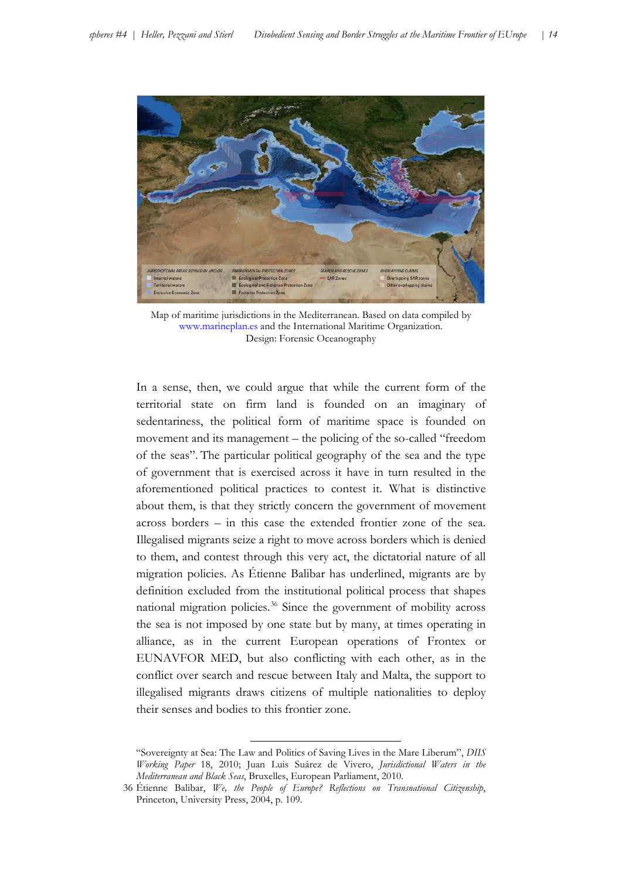

Map of maritime jurisdictions in the Mediterranean. Based on data compiled by [www.marineplan.es](http://www.marineplan.es/) and the International Maritime Organization. Design: Forensic Oceanography

In a sense, then, we could argue that while the current form of the territorial state on firm land is founded on an imaginary of sedentariness, the political form of maritime space is founded on movement and its management – the policing of the so-called "freedom of the seas". The particular political geography of the sea and the type of government that is exercised across it have in turn resulted in the aforementioned political practices to contest it. What is distinctive about them, is that they strictly concern the government of movement across borders – in this case the extended frontier zone of the sea. Illegalised migrants seize a right to move across borders which is denied to them, and contest through this very act, the dictatorial nature of all migration policies. As Étienne Balibar has underlined, migrants are by definition excluded from the institutional political process that shapes national migration policies. [36](#page-14-0) Since the government of mobility across the sea is not imposed by one state but by many, at times operating in alliance, as in the current European operations of Frontex or EUNAVFOR MED, but also conflicting with each other, as in the conflict over search and rescue between Italy and Malta, the support to illegalised migrants draws citizens of multiple nationalities to deploy their senses and bodies to this frontier zone.

<sup>&</sup>quot;Sovereignty at Sea: The Law and Politics of Saving Lives in the Mare Liberum", *DIIS Working Paper* 18, 2010; Juan Luis Suárez de Vivero, *Jurisdictional Waters in the Mediterranean and Black Seas*, Bruxelles, European Parliament, 2010.

<span id="page-14-0"></span><sup>36</sup> Étienne Balibar, *We, the People of Europe? Reflections on Transnational Citizenship*, Princeton, University Press, 2004, p. 109.